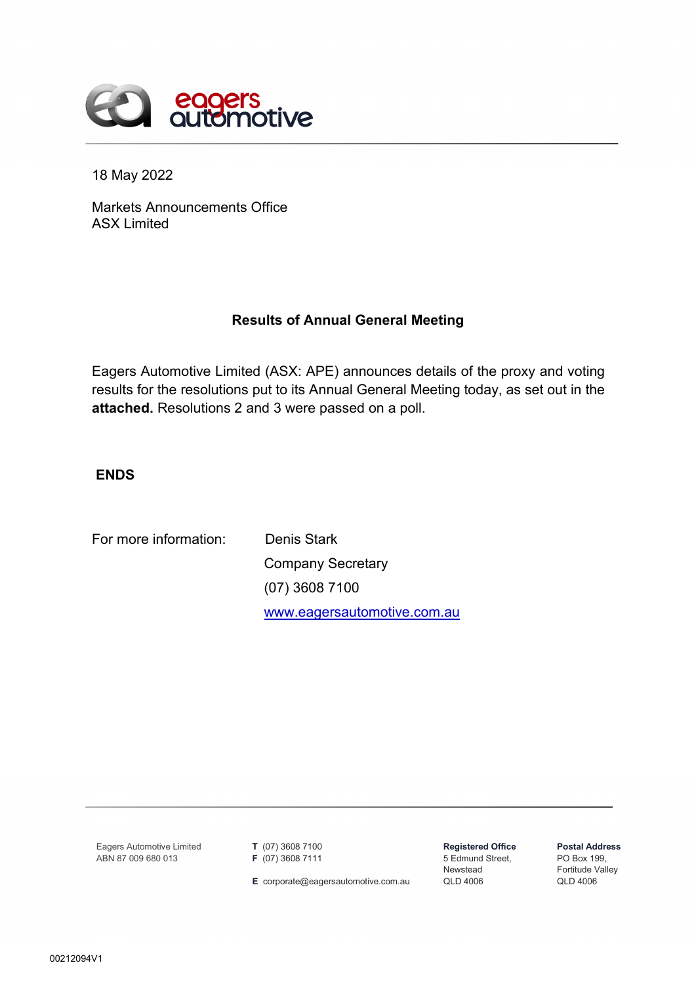

18 May 2022

Markets Announcements Office ASX Limited

## **Results of Annual General Meeting**

Eagers Automotive Limited (ASX: APE) announces details of the proxy and voting results for the resolutions put to its Annual General Meeting today, as set out in the **attached.** Resolutions 2 and 3 were passed on a poll.

**ENDS**

For more information: Denis Stark

Company Secretary (07) 3608 7100 [www.eagersautomotive.com.au](http://www.eagersautomotive.com.au/)

Eagers Automotive Limited ABN 87 009 680 013

**T** (07) 3608 7100 **F** (07) 3608 7111

**E** corporate@eagersautomotive.com.au

**Registered Office** 5 Edmund Street, Newstead QLD 4006

**Postal Address** PO Box 199, Fortitude Valley QLD 4006